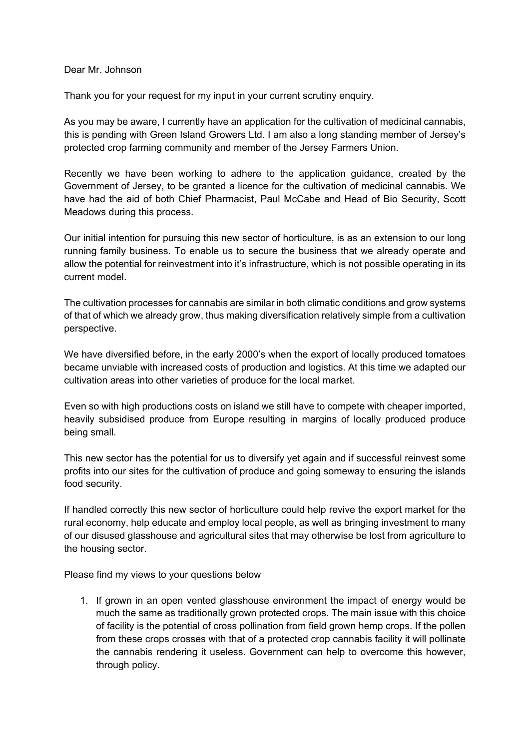## Dear Mr. Johnson

Thank you for your request for my input in your current scrutiny enquiry.

As you may be aware, I currently have an application for the cultivation of medicinal cannabis, this is pending with Green Island Growers Ltd. I am also a long standing member of Jersey's protected crop farming community and member of the Jersey Farmers Union.

Recently we have been working to adhere to the application guidance, created by the Government of Jersey, to be granted a licence for the cultivation of medicinal cannabis. We have had the aid of both Chief Pharmacist, Paul McCabe and Head of Bio Security, Scott Meadows during this process.

Our initial intention for pursuing this new sector of horticulture, is as an extension to our long running family business. To enable us to secure the business that we already operate and allow the potential for reinvestment into it's infrastructure, which is not possible operating in its current model.

The cultivation processes for cannabis are similar in both climatic conditions and grow systems of that of which we already grow, thus making diversification relatively simple from a cultivation perspective.

We have diversified before, in the early 2000's when the export of locally produced tomatoes became unviable with increased costs of production and logistics. At this time we adapted our cultivation areas into other varieties of produce for the local market.

Even so with high productions costs on island we still have to compete with cheaper imported, heavily subsidised produce from Europe resulting in margins of locally produced produce being small.

This new sector has the potential for us to diversify yet again and if successful reinvest some profits into our sites for the cultivation of produce and going someway to ensuring the islands food security.

If handled correctly this new sector of horticulture could help revive the export market for the rural economy, help educate and employ local people, as well as bringing investment to many of our disused glasshouse and agricultural sites that may otherwise be lost from agriculture to the housing sector.

Please find my views to your questions below

1. If grown in an open vented glasshouse environment the impact of energy would be much the same as traditionally grown protected crops. The main issue with this choice of facility is the potential of cross pollination from field grown hemp crops. If the pollen from these crops crosses with that of a protected crop cannabis facility it will pollinate the cannabis rendering it useless. Government can help to overcome this however, through policy.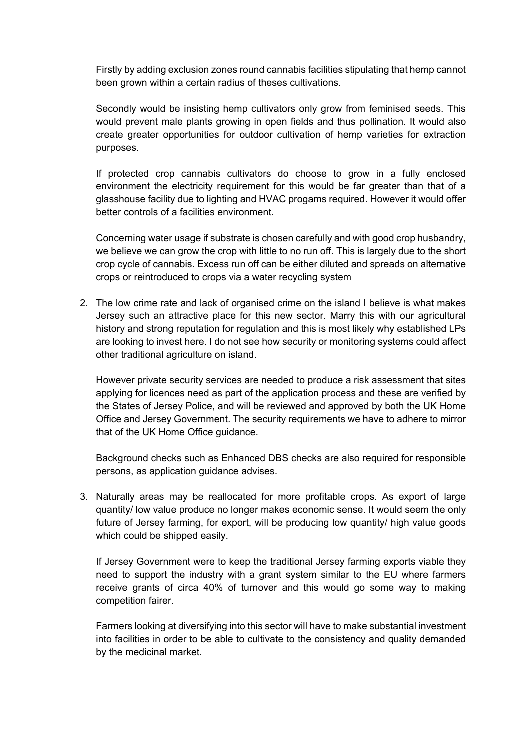Firstly by adding exclusion zones round cannabis facilities stipulating that hemp cannot been grown within a certain radius of theses cultivations.

Secondly would be insisting hemp cultivators only grow from feminised seeds. This would prevent male plants growing in open fields and thus pollination. It would also create greater opportunities for outdoor cultivation of hemp varieties for extraction purposes.

If protected crop cannabis cultivators do choose to grow in a fully enclosed environment the electricity requirement for this would be far greater than that of a glasshouse facility due to lighting and HVAC progams required. However it would offer better controls of a facilities environment.

Concerning water usage if substrate is chosen carefully and with good crop husbandry, we believe we can grow the crop with little to no run off. This is largely due to the short crop cycle of cannabis. Excess run off can be either diluted and spreads on alternative crops or reintroduced to crops via a water recycling system

2. The low crime rate and lack of organised crime on the island I believe is what makes Jersey such an attractive place for this new sector. Marry this with our agricultural history and strong reputation for regulation and this is most likely why established LPs are looking to invest here. I do not see how security or monitoring systems could affect other traditional agriculture on island.

However private security services are needed to produce a risk assessment that sites applying for licences need as part of the application process and these are verified by the States of Jersey Police, and will be reviewed and approved by both the UK Home Office and Jersey Government. The security requirements we have to adhere to mirror that of the UK Home Office guidance.

Background checks such as Enhanced DBS checks are also required for responsible persons, as application guidance advises.

3. Naturally areas may be reallocated for more profitable crops. As export of large quantity/ low value produce no longer makes economic sense. It would seem the only future of Jersey farming, for export, will be producing low quantity/ high value goods which could be shipped easily.

If Jersey Government were to keep the traditional Jersey farming exports viable they need to support the industry with a grant system similar to the EU where farmers receive grants of circa 40% of turnover and this would go some way to making competition fairer.

Farmers looking at diversifying into this sector will have to make substantial investment into facilities in order to be able to cultivate to the consistency and quality demanded by the medicinal market.